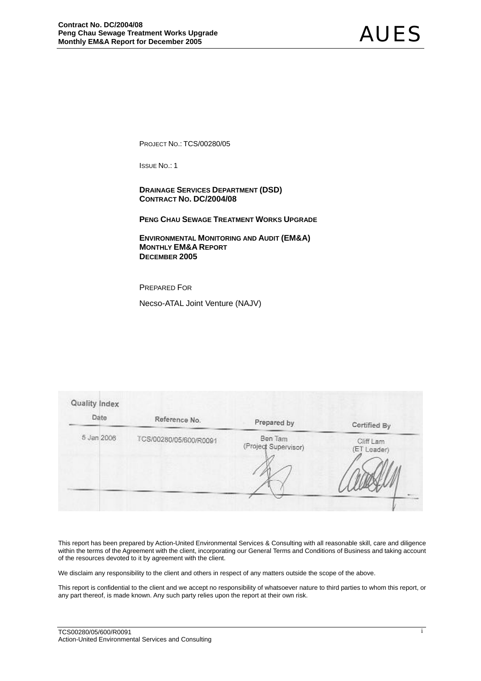PROJECT NO.: TCS/00280/05

ISSUE NO.: 1

 **DRAINAGE SERVICES DEPARTMENT (DSD) CONTRACT NO. DC/2004/08** 

**PENG CHAU SEWAGE TREATMENT WORKS UPGRADE**

 **ENVIRONMENTAL MONITORING AND AUDIT (EM&A) MONTHLY EM&A REPORT DECEMBER 2005** 

PREPARED FOR

Necso-ATAL Joint Venture (NAJV)

| Reference No.          | Prepared by                     | Cortified By             |
|------------------------|---------------------------------|--------------------------|
| TCS/00280/05/600/R0091 | Ben Tam<br>(Project Supervisor) | Cliff Lam<br>(ET Leader) |
|                        |                                 |                          |

This report has been prepared by Action-United Environmental Services & Consulting with all reasonable skill, care and diligence within the terms of the Agreement with the client, incorporating our General Terms and Conditions of Business and taking account of the resources devoted to it by agreement with the client.

We disclaim any responsibility to the client and others in respect of any matters outside the scope of the above.

This report is confidential to the client and we accept no responsibility of whatsoever nature to third parties to whom this report, or any part thereof, is made known. Any such party relies upon the report at their own risk.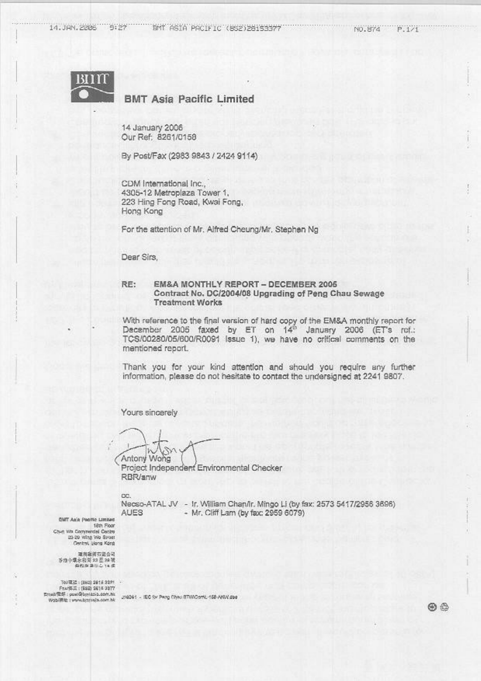14.JAN.2206 9:27

NO.874  $P.1/1$ 



## **BMT Asia Pacific Limited**

14 January 2006 Our Ref: 8261/0158

By Post/Fax (2983 9843 / 2424 9114)

CDM International Inc., 4305-12 Metroplaza Tower 1. 223 Hing Fong Road, Kwai Fong, Hong Kong

For the attention of Mr. Alfred Cheung/Mr. Stephen Ng

Dear Sirs.

#### EM&A MONTHLY REPORT - DECEMBER 2006 RE: Contract No. DC/2004/08 Upgrading of Peng Chau Sewage **Treatment Works**

With reference to the final version of hard copy of the EM&A monthly report for<br>December 2005 faxed by ET on 14<sup>th</sup> January 2006 (ET's ref.: TCS/00280/05/600/R0091 Issue 1), we have no critical comments on the mentioned report.

Thank you for your kind attention and should you require any further information, please do not hesitate to contact the undersigned at 2241 9807.

Yours sincerely

Antony Wong

Project Independent Environmental Checker RBR/anw

CC.

Necso-ATAL JV - Ir, William Chan/Ir. Mingo Li (by fax: 2573 5417/2956 3696) **AUES** - Mr. Cliff Lam (by fax: 2959 6079)

**CMT Asia Pacific Limited** 18th Floor Chin Wa Commercial Centre 25-29 Wing We Sires

减料灌浆有混合同 第14章 2022年第14章<br>第14章 2022年10月

TAU DI 25 - (1982) 3612-3321 Fax:(532) 2614 2377 Email/Rdf : pow/@bmitdia.com.nit<br>Wobil/Rtb : www.bmrsula.com.hk

2/8261 - IEC for Pwng Chwa STWComit, 158-ANV/200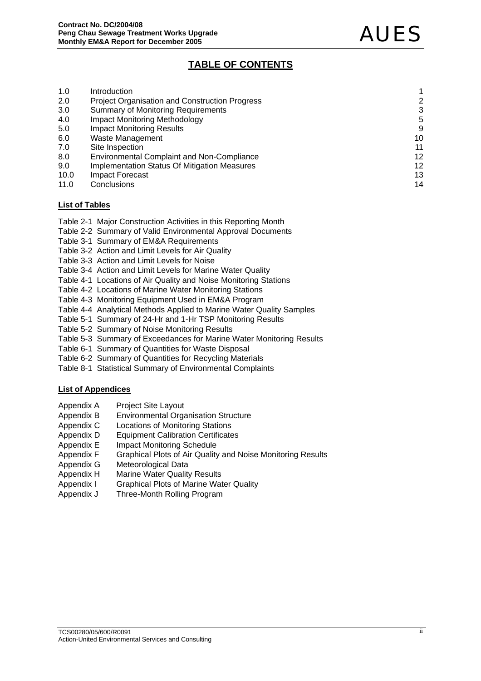# **TABLE OF CONTENTS**

| 1.0  | Introduction                                          |                 |
|------|-------------------------------------------------------|-----------------|
| 2.0  | <b>Project Organisation and Construction Progress</b> | 2               |
| 3.0  | <b>Summary of Monitoring Requirements</b>             | 3               |
| 4.0  | <b>Impact Monitoring Methodology</b>                  | 5               |
| 5.0  | <b>Impact Monitoring Results</b>                      | 9               |
| 6.0  | Waste Management                                      | 10              |
| 7.0  | Site Inspection                                       | 11              |
| 8.0  | <b>Environmental Complaint and Non-Compliance</b>     | 12              |
| 9.0  | Implementation Status Of Mitigation Measures          | 12 <sub>2</sub> |
| 10.0 | <b>Impact Forecast</b>                                | 13              |
| 11.0 | Conclusions                                           | 14              |

### **List of Tables**

- Table 2-1 Major Construction Activities in this Reporting Month
- Table 2-2 Summary of Valid Environmental Approval Documents
- Table 3-1 Summary of EM&A Requirements
- Table 3-2 Action and Limit Levels for Air Quality
- Table 3-3 Action and Limit Levels for Noise
- Table 3-4 Action and Limit Levels for Marine Water Quality
- Table 4-1 Locations of Air Quality and Noise Monitoring Stations
- Table 4-2 Locations of Marine Water Monitoring Stations
- Table 4-3 Monitoring Equipment Used in EM&A Program
- Table 4-4 Analytical Methods Applied to Marine Water Quality Samples
- Table 5-1 Summary of 24-Hr and 1-Hr TSP Monitoring Results
- Table 5-2 Summary of Noise Monitoring Results
- Table 5-3 Summary of Exceedances for Marine Water Monitoring Results
- Table 6-1 Summary of Quantities for Waste Disposal
- Table 6-2 Summary of Quantities for Recycling Materials
- Table 8-1 Statistical Summary of Environmental Complaints

### **List of Appendices**

- Appendix A Project Site Layout
- Appendix B Environmental Organisation Structure
- Appendix C Locations of Monitoring Stations
- Appendix D Equipment Calibration Certificates
- Appendix E Impact Monitoring Schedule
- Appendix F Graphical Plots of Air Quality and Noise Monitoring Results
- Appendix G Meteorological Data
- Appendix H Marine Water Quality Results
- Appendix I Graphical Plots of Marine Water Quality
- Appendix J Three-Month Rolling Program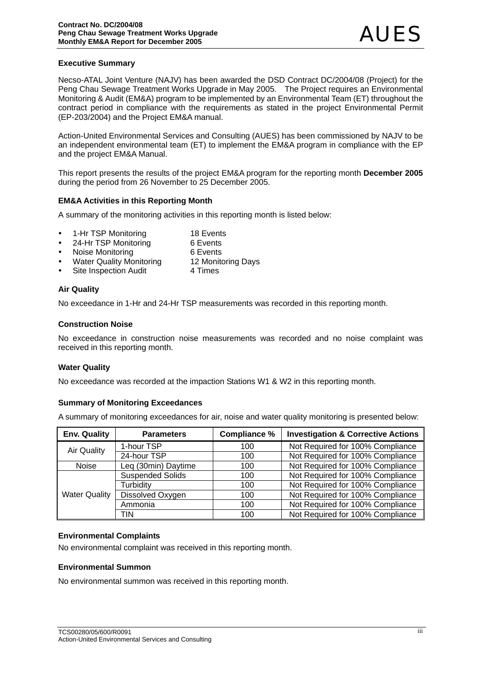### **Executive Summary**

Necso-ATAL Joint Venture (NAJV) has been awarded the DSD Contract DC/2004/08 (Project) for the Peng Chau Sewage Treatment Works Upgrade in May 2005. The Project requires an Environmental Monitoring & Audit (EM&A) program to be implemented by an Environmental Team (ET) throughout the contract period in compliance with the requirements as stated in the project Environmental Permit (EP-203/2004) and the Project EM&A manual.

Action-United Environmental Services and Consulting (AUES) has been commissioned by NAJV to be an independent environmental team (ET) to implement the EM&A program in compliance with the EP and the project EM&A Manual.

This report presents the results of the project EM&A program for the reporting month **December 2005**  during the period from 26 November to 25 December 2005.

### **EM&A Activities in this Reporting Month**

A summary of the monitoring activities in this reporting month is listed below:

- 1-Hr TSP Monitoring 18 Events
- 24-Hr TSP Monitoring 6 Events
- Noise Monitoring 6 Events
- Water Quality Monitoring 12 Monitoring Days
- Site Inspection Audit 4 Times

### **Air Quality**

No exceedance in 1-Hr and 24-Hr TSP measurements was recorded in this reporting month.

### **Construction Noise**

No exceedance in construction noise measurements was recorded and no noise complaint was received in this reporting month.

#### **Water Quality**

No exceedance was recorded at the impaction Stations W1 & W2 in this reporting month.

### **Summary of Monitoring Exceedances**

A summary of monitoring exceedances for air, noise and water quality monitoring is presented below:

| <b>Env. Quality</b>                 | <b>Parameters</b>       | <b>Compliance %</b> | <b>Investigation &amp; Corrective Actions</b> |
|-------------------------------------|-------------------------|---------------------|-----------------------------------------------|
| <b>Air Quality</b>                  | 1-hour TSP              | 100                 | Not Required for 100% Compliance              |
|                                     | 24-hour TSP             | 100                 | Not Required for 100% Compliance              |
| Leq (30min) Daytime<br><b>Noise</b> |                         | 100                 | Not Required for 100% Compliance              |
|                                     | <b>Suspended Solids</b> | 100                 | Not Required for 100% Compliance              |
| <b>Water Quality</b>                | Turbidity               | 100                 | Not Required for 100% Compliance              |
|                                     | Dissolved Oxygen        | 100                 | Not Required for 100% Compliance              |
|                                     | Ammonia                 | 100                 | Not Required for 100% Compliance              |
|                                     | TIN                     | 100                 | Not Required for 100% Compliance              |

### **Environmental Complaints**

No environmental complaint was received in this reporting month.

#### **Environmental Summon**

No environmental summon was received in this reporting month.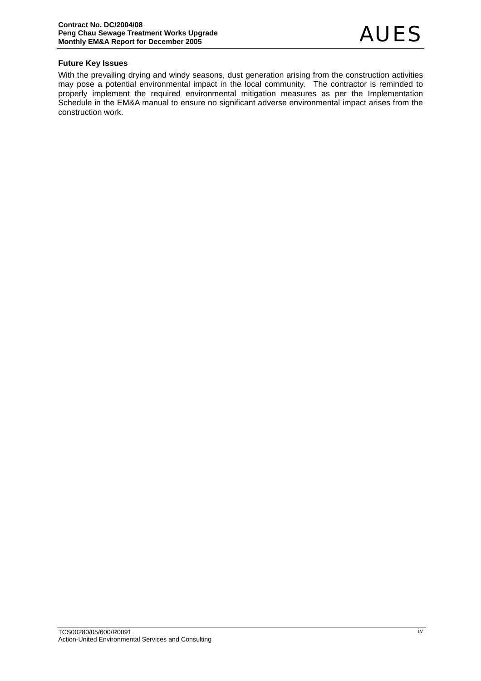### **Future Key Issues**

With the prevailing drying and windy seasons, dust generation arising from the construction activities may pose a potential environmental impact in the local community. The contractor is reminded to properly implement the required environmental mitigation measures as per the Implementation Schedule in the EM&A manual to ensure no significant adverse environmental impact arises from the construction work.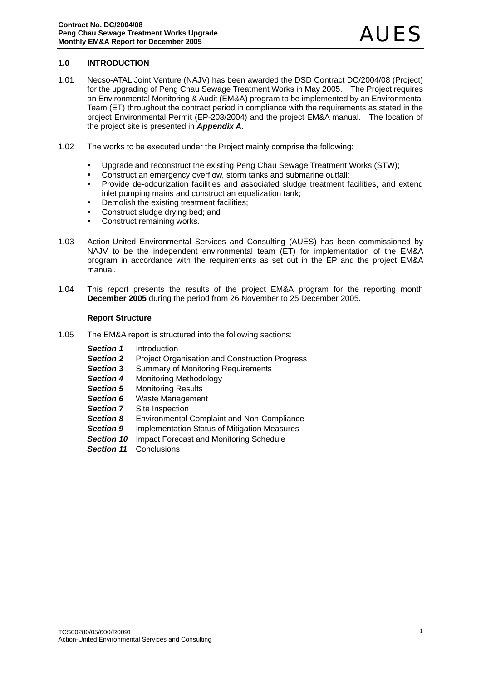### **1.0 INTRODUCTION**

- 1.01 Necso-ATAL Joint Venture (NAJV) has been awarded the DSD Contract DC/2004/08 (Project) for the upgrading of Peng Chau Sewage Treatment Works in May 2005. The Project requires an Environmental Monitoring & Audit (EM&A) program to be implemented by an Environmental Team (ET) throughout the contract period in compliance with the requirements as stated in the project Environmental Permit (EP-203/2004) and the project EM&A manual. The location of the project site is presented in *Appendix A*.
- 1.02 The works to be executed under the Project mainly comprise the following:
	- Upgrade and reconstruct the existing Peng Chau Sewage Treatment Works (STW):
	- Construct an emergency overflow, storm tanks and submarine outfall:
	- Provide de-odourization facilities and associated sludge treatment facilities, and extend inlet pumping mains and construct an equalization tank;
	- Demolish the existing treatment facilities;
	- Construct sludge drying bed; and
	- Construct remaining works.
- 1.03 Action-United Environmental Services and Consulting (AUES) has been commissioned by NAJV to be the independent environmental team (ET) for implementation of the EM&A program in accordance with the requirements as set out in the EP and the project EM&A manual.
- 1.04 This report presents the results of the project EM&A program for the reporting month **December 2005** during the period from 26 November to 25 December 2005.

#### **Report Structure**

- 1.05 The EM&A report is structured into the following sections:
	- *Section 1* Introduction
	- **Section 2** Project Organisation and Construction Progress
	- **Section 3** Summary of Monitoring Requirements
	- *Section 4* Monitoring Methodology
	- **Section 5** Monitoring Results
	- **Section 6** Waste Management
	- **Section 7** Site Inspection
	- *Section 8* Environmental Complaint and Non-Compliance
	- **Section 9** Implementation Status of Mitigation Measures
	- **Section 10** Impact Forecast and Monitoring Schedule
	- *Section 11* Conclusions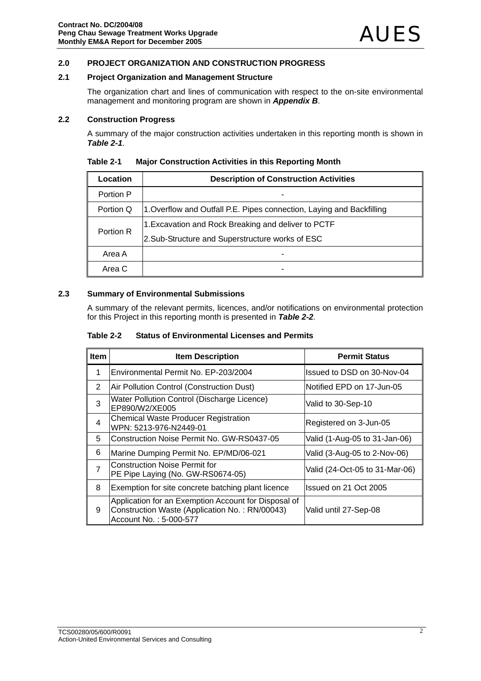### **2.0 PROJECT ORGANIZATION AND CONSTRUCTION PROGRESS**

### **2.1 Project Organization and Management Structure**

The organization chart and lines of communication with respect to the on-site environmental management and monitoring program are shown in *Appendix B*.

#### **2.2 Construction Progress**

A summary of the major construction activities undertaken in this reporting month is shown in *Table 2-1*.

| Location  | <b>Description of Construction Activities</b>                         |  |
|-----------|-----------------------------------------------------------------------|--|
| Portion P |                                                                       |  |
| Portion Q | 1. Overflow and Outfall P.E. Pipes connection, Laying and Backfilling |  |
|           | 1. Excavation and Rock Breaking and deliver to PCTF                   |  |
| Portion R | 2. Sub-Structure and Superstructure works of ESC                      |  |
| Area A    |                                                                       |  |
| Area C    |                                                                       |  |

#### **Table 2-1 Major Construction Activities in this Reporting Month**

### **2.3 Summary of Environmental Submissions**

A summary of the relevant permits, licences, and/or notifications on environmental protection for this Project in this reporting month is presented in *Table 2-2.* 

| Table 2-2 | <b>Status of Environmental Licenses and Permits</b> |
|-----------|-----------------------------------------------------|
|           |                                                     |

| <b>Item</b>    | <b>Item Description</b>                                                                                                          | <b>Permit Status</b>           |
|----------------|----------------------------------------------------------------------------------------------------------------------------------|--------------------------------|
| 1              | Environmental Permit No. EP-203/2004                                                                                             | Issued to DSD on 30-Nov-04     |
| 2              | Air Pollution Control (Construction Dust)                                                                                        | Notified EPD on 17-Jun-05      |
| 3              | Water Pollution Control (Discharge Licence)<br>EP890/W2/XE005                                                                    | Valid to 30-Sep-10             |
| 4              | <b>Chemical Waste Producer Registration</b><br>WPN: 5213-976-N2449-01                                                            | Registered on 3-Jun-05         |
| 5              | Construction Noise Permit No. GW-RS0437-05                                                                                       | Valid (1-Aug-05 to 31-Jan-06)  |
| 6              | Marine Dumping Permit No. EP/MD/06-021                                                                                           | Valid (3-Aug-05 to 2-Nov-06)   |
| $\overline{7}$ | <b>Construction Noise Permit for</b><br>PE Pipe Laying (No. GW-RS0674-05)                                                        | Valid (24-Oct-05 to 31-Mar-06) |
| 8              | Exemption for site concrete batching plant licence                                                                               | Issued on 21 Oct 2005          |
| 9              | Application for an Exemption Account for Disposal of<br>Construction Waste (Application No.: RN/00043)<br>Account No.: 5-000-577 | Valid until 27-Sep-08          |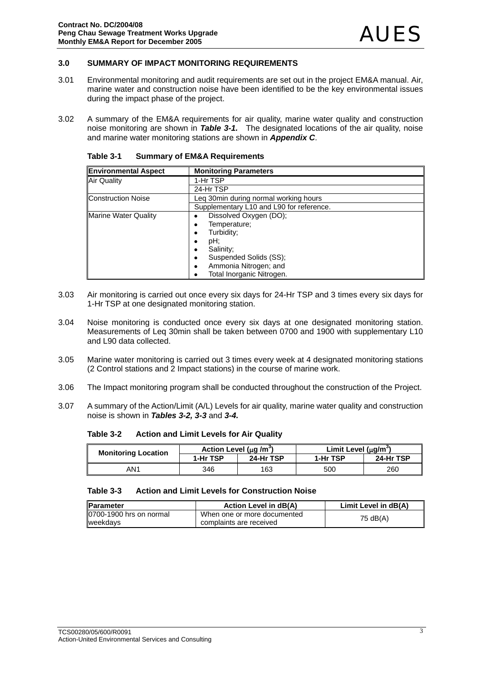### **3.0 SUMMARY OF IMPACT MONITORING REQUIREMENTS**

- 3.01 Environmental monitoring and audit requirements are set out in the project EM&A manual. Air, marine water and construction noise have been identified to be the key environmental issues during the impact phase of the project.
- 3.02 A summary of the EM&A requirements for air quality, marine water quality and construction noise monitoring are shown in *Table 3-1.* The designated locations of the air quality, noise and marine water monitoring stations are shown in *Appendix C*.

| <b>Environmental Aspect</b> | <b>Monitoring Parameters</b>             |  |
|-----------------------------|------------------------------------------|--|
| Air Quality                 | 1-Hr TSP                                 |  |
|                             | 24-Hr TSP                                |  |
| <b>Construction Noise</b>   | Leg 30 min during normal working hours   |  |
|                             | Supplementary L10 and L90 for reference. |  |
| <b>Marine Water Quality</b> | Dissolved Oxygen (DO);                   |  |
|                             | Temperature;                             |  |
|                             | Turbidity;                               |  |
|                             | pH;                                      |  |
|                             | Salinity;                                |  |
|                             | Suspended Solids (SS);                   |  |
|                             | Ammonia Nitrogen; and                    |  |
|                             | Total Inorganic Nitrogen.                |  |

**Table 3-1 Summary of EM&A Requirements** 

- 3.03 Air monitoring is carried out once every six days for 24-Hr TSP and 3 times every six days for 1-Hr TSP at one designated monitoring station.
- 3.04 Noise monitoring is conducted once every six days at one designated monitoring station. Measurements of Leq 30min shall be taken between 0700 and 1900 with supplementary L10 and L90 data collected.
- 3.05 Marine water monitoring is carried out 3 times every week at 4 designated monitoring stations (2 Control stations and 2 Impact stations) in the course of marine work.
- 3.06 The Impact monitoring program shall be conducted throughout the construction of the Project.
- 3.07 A summary of the Action/Limit (A/L) Levels for air quality, marine water quality and construction noise is shown in *Tables 3-2, 3-3* and *3-4.*

**Table 3-2 Action and Limit Levels for Air Quality** 

| <b>Monitoring Location</b> | Action Level ( $\mu$ q /m <sup>2</sup> ) |           | Limit Level $(uq/m^3)$ |           |
|----------------------------|------------------------------------------|-----------|------------------------|-----------|
|                            | 1-Hr TSP                                 | 24-Hr TSP | 1-Hr TSP               | 24-Hr TSP |
| AN1                        | 346                                      | 163       | 500                    | 260       |

### **Table 3-3 Action and Limit Levels for Construction Noise**

| <b>IParameter</b>                          | Action Level in dB(A)                                  | Limit Level in dB(A) |
|--------------------------------------------|--------------------------------------------------------|----------------------|
| 0700-1900 hrs on normal<br><b>weekdavs</b> | When one or more documented<br>complaints are received | 75 dB(A)             |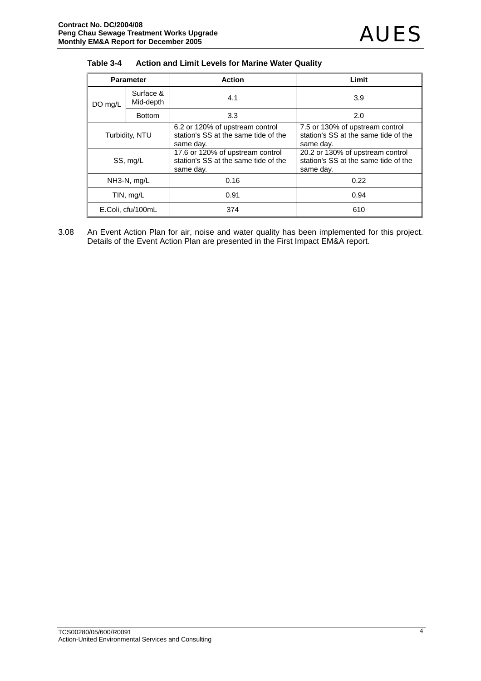| Table 3-4 | <b>Action and Limit Levels for Marine Water Quality</b> |
|-----------|---------------------------------------------------------|
|-----------|---------------------------------------------------------|

| <b>Parameter</b>  |                        | <b>Action</b>                                                                         | Limit                                                                                 |  |
|-------------------|------------------------|---------------------------------------------------------------------------------------|---------------------------------------------------------------------------------------|--|
| DO mg/L           | Surface &<br>Mid-depth | 4.1                                                                                   | 3.9                                                                                   |  |
|                   | <b>Bottom</b>          | 3.3                                                                                   | 2.0                                                                                   |  |
| Turbidity, NTU    |                        | 6.2 or 120% of upstream control<br>station's SS at the same tide of the<br>same day.  | 7.5 or 130% of upstream control<br>station's SS at the same tide of the<br>same day.  |  |
| SS, mg/L          |                        | 17.6 or 120% of upstream control<br>station's SS at the same tide of the<br>same day. | 20.2 or 130% of upstream control<br>station's SS at the same tide of the<br>same day. |  |
| NH3-N, mg/L       |                        | 0.16                                                                                  | 0.22                                                                                  |  |
| TIN, mg/L         |                        | 0.91<br>0.94                                                                          |                                                                                       |  |
| E.Coli, cfu/100mL |                        | 374                                                                                   | 610                                                                                   |  |

3.08 An Event Action Plan for air, noise and water quality has been implemented for this project. Details of the Event Action Plan are presented in the First Impact EM&A report.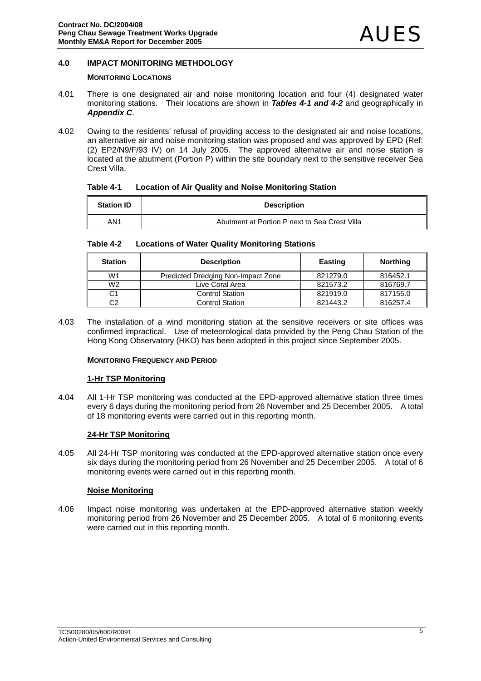### **4.0 IMPACT MONITORING METHDOLOGY**

### **MONITORING LOCATIONS**

- 4.01 There is one designated air and noise monitoring location and four (4) designated water monitoring stations. Their locations are shown in *Tables 4-1 and 4-2* and geographically in *Appendix C*.
- 4.02 Owing to the residents' refusal of providing access to the designated air and noise locations, an alternative air and noise monitoring station was proposed and was approved by EPD (Ref: (2) EP2/N9/F/93 IV) on 14 July 2005. The approved alternative air and noise station is located at the abutment (Portion P) within the site boundary next to the sensitive receiver Sea Crest Villa.

| Table 4-1 | <b>Location of Air Quality and Noise Monitoring Station</b> |
|-----------|-------------------------------------------------------------|
|           |                                                             |

| <b>Station ID</b> | <b>Description</b>                            |
|-------------------|-----------------------------------------------|
| AN1               | Abutment at Portion P next to Sea Crest Villa |

| Table 4-2<br><b>Locations of Water Quality Monitoring Stations</b> |
|--------------------------------------------------------------------|
|--------------------------------------------------------------------|

| <b>Station</b> | <b>Description</b>                 | Easting  | <b>Northing</b> |
|----------------|------------------------------------|----------|-----------------|
| W1             | Predicted Dredging Non-Impact Zone | 821279.0 | 816452.1        |
| W <sub>2</sub> | Live Coral Area                    | 821573.2 | 816769.7        |
| C1             | <b>Control Station</b>             | 821919.0 | 817155.0        |
| C2             | <b>Control Station</b>             | 821443.2 | 816257.4        |

4.03 The installation of a wind monitoring station at the sensitive receivers or site offices was confirmed impractical. Use of meteorological data provided by the Peng Chau Station of the Hong Kong Observatory (HKO) has been adopted in this project since September 2005.

#### **MONITORING FREQUENCY AND PERIOD**

#### **1-Hr TSP Monitoring**

4.04 All 1-Hr TSP monitoring was conducted at the EPD-approved alternative station three times every 6 days during the monitoring period from 26 November and 25 December 2005. A total of 18 monitoring events were carried out in this reporting month.

### **24-Hr TSP Monitoring**

4.05 All 24-Hr TSP monitoring was conducted at the EPD-approved alternative station once every six days during the monitoring period from 26 November and 25 December 2005. A total of 6 monitoring events were carried out in this reporting month.

#### **Noise Monitoring**

4.06 Impact noise monitoring was undertaken at the EPD-approved alternative station weekly monitoring period from 26 November and 25 December 2005. A total of 6 monitoring events were carried out in this reporting month.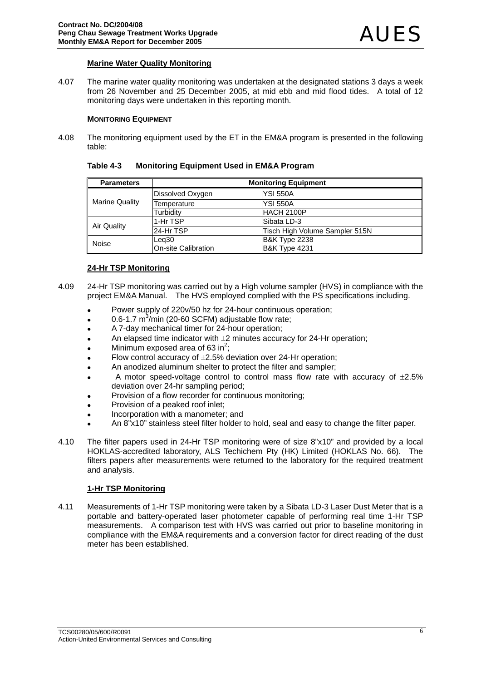### **Marine Water Quality Monitoring**

4.07 The marine water quality monitoring was undertaken at the designated stations 3 days a week from 26 November and 25 December 2005, at mid ebb and mid flood tides. A total of 12 monitoring days were undertaken in this reporting month.

#### **MONITORING EQUIPMENT**

4.08 The monitoring equipment used by the ET in the EM&A program is presented in the following table:

| Table 4-3 | <b>Monitoring Equipment Used in EM&amp;A Program</b> |
|-----------|------------------------------------------------------|
|-----------|------------------------------------------------------|

| <b>Parameters</b>     | <b>Monitoring Equipment</b> |                                |  |  |  |  |
|-----------------------|-----------------------------|--------------------------------|--|--|--|--|
| <b>Marine Quality</b> | Dissolved Oxygen            | <b>YSI 550A</b>                |  |  |  |  |
|                       | Temperature                 | <b>YSI 550A</b>                |  |  |  |  |
|                       | Turbidity                   | IHACH 2100P                    |  |  |  |  |
|                       | 1-Hr TSP                    | Sibata LD-3                    |  |  |  |  |
| Air Quality           | l24-Hr TSP                  | Tisch High Volume Sampler 515N |  |  |  |  |
| Noise                 | Lea30                       | <b>B&amp;K Type 2238</b>       |  |  |  |  |
|                       | On-site Calibration         | <b>B&amp;K Type 4231</b>       |  |  |  |  |

### **24-Hr TSP Monitoring**

- 4.09 24-Hr TSP monitoring was carried out by a High volume sampler (HVS) in compliance with the project EM&A Manual. The HVS employed complied with the PS specifications including.
	- Power supply of 220v/50 hz for 24-hour continuous operation;
	- $\bullet$  0.6-1.7 m<sup>3</sup>/min (20-60 SCFM) adjustable flow rate;
	- A 7-day mechanical timer for 24-hour operation;
	- An elapsed time indicator with  $\pm 2$  minutes accuracy for 24-Hr operation;
	- Minimum exposed area of 63 in<sup>2</sup>;
	- Flow control accuracy of  $\pm 2.5$ % deviation over 24-Hr operation;
	- An anodized aluminum shelter to protect the filter and sampler;
	- A motor speed-voltage control to control mass flow rate with accuracy of  $\pm 2.5\%$ deviation over 24-hr sampling period;
	- Provision of a flow recorder for continuous monitoring:
	- Provision of a peaked roof inlet:
	- Incorporation with a manometer; and
	- An 8"x10" stainless steel filter holder to hold, seal and easy to change the filter paper.
- 4.10 The filter papers used in 24-Hr TSP monitoring were of size 8"x10" and provided by a local HOKLAS-accredited laboratory, ALS Techichem Pty (HK) Limited (HOKLAS No. 66). The filters papers after measurements were returned to the laboratory for the required treatment and analysis.

### **1-Hr TSP Monitoring**

4.11 Measurements of 1-Hr TSP monitoring were taken by a Sibata LD-3 Laser Dust Meter that is a portable and battery-operated laser photometer capable of performing real time 1-Hr TSP measurements. A comparison test with HVS was carried out prior to baseline monitoring in compliance with the EM&A requirements and a conversion factor for direct reading of the dust meter has been established.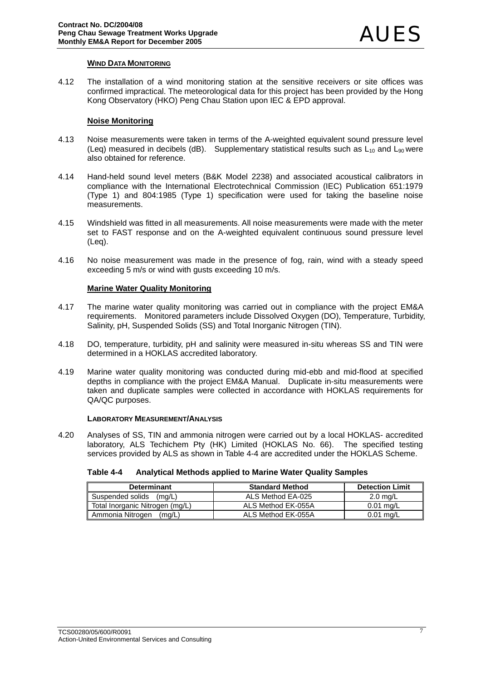### **WIND DATA MONITORING**

4.12 The installation of a wind monitoring station at the sensitive receivers or site offices was confirmed impractical. The meteorological data for this project has been provided by the Hong Kong Observatory (HKO) Peng Chau Station upon IEC & EPD approval.

### **Noise Monitoring**

- 4.13 Noise measurements were taken in terms of the A-weighted equivalent sound pressure level (Leq) measured in decibels (dB). Supplementary statistical results such as  $L_{10}$  and  $L_{90}$  were also obtained for reference.
- 4.14 Hand-held sound level meters (B&K Model 2238) and associated acoustical calibrators in compliance with the International Electrotechnical Commission (IEC) Publication 651:1979 (Type 1) and 804:1985 (Type 1) specification were used for taking the baseline noise measurements.
- 4.15 Windshield was fitted in all measurements. All noise measurements were made with the meter set to FAST response and on the A-weighted equivalent continuous sound pressure level (Leq).
- 4.16 No noise measurement was made in the presence of fog, rain, wind with a steady speed exceeding 5 m/s or wind with gusts exceeding 10 m/s.

### **Marine Water Quality Monitoring**

- 4.17 The marine water quality monitoring was carried out in compliance with the project EM&A requirements. Monitored parameters include Dissolved Oxygen (DO), Temperature, Turbidity, Salinity, pH, Suspended Solids (SS) and Total Inorganic Nitrogen (TIN).
- 4.18 DO, temperature, turbidity, pH and salinity were measured in-situ whereas SS and TIN were determined in a HOKLAS accredited laboratory.
- 4.19 Marine water quality monitoring was conducted during mid-ebb and mid-flood at specified depths in compliance with the project EM&A Manual. Duplicate in-situ measurements were taken and duplicate samples were collected in accordance with HOKLAS requirements for QA/QC purposes.

#### **LABORATORY MEASUREMENT/ANALYSIS**

4.20 Analyses of SS, TIN and ammonia nitrogen were carried out by a local HOKLAS- accredited laboratory, ALS Techichem Pty (HK) Limited (HOKLAS No. 66). The specified testing services provided by ALS as shown in Table 4-4 are accredited under the HOKLAS Scheme.

#### **Table 4-4 Analytical Methods applied to Marine Water Quality Samples**

| <b>Determinant</b>              | <b>Standard Method</b> | <b>Detection Limit</b> |
|---------------------------------|------------------------|------------------------|
| Suspended solids<br>(ma/L)      | ALS Method EA-025      | $2.0 \text{ mg/L}$     |
| Total Inorganic Nitrogen (mg/L) | ALS Method EK-055A     | $0.01$ ma/L            |
| Ammonia Nitrogen<br>(mg/L)      | ALS Method EK-055A     | $0.01$ mg/L            |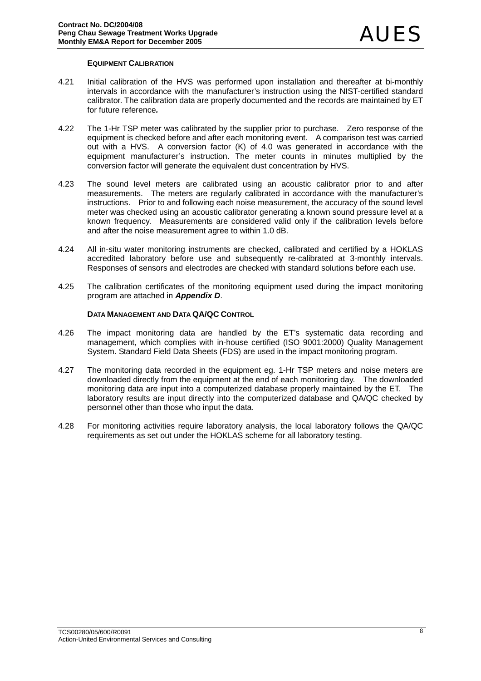### **EQUIPMENT CALIBRATION**

- 4.21 Initial calibration of the HVS was performed upon installation and thereafter at bi-monthly intervals in accordance with the manufacturer's instruction using the NIST-certified standard calibrator. The calibration data are properly documented and the records are maintained by ET for future reference*.*
- 4.22 The 1-Hr TSP meter was calibrated by the supplier prior to purchase. Zero response of the equipment is checked before and after each monitoring event. A comparison test was carried out with a HVS. A conversion factor (K) of 4.0 was generated in accordance with the equipment manufacturer's instruction. The meter counts in minutes multiplied by the conversion factor will generate the equivalent dust concentration by HVS.
- 4.23 The sound level meters are calibrated using an acoustic calibrator prior to and after measurements. The meters are regularly calibrated in accordance with the manufacturer's instructions. Prior to and following each noise measurement, the accuracy of the sound level meter was checked using an acoustic calibrator generating a known sound pressure level at a known frequency. Measurements are considered valid only if the calibration levels before and after the noise measurement agree to within 1.0 dB.
- 4.24 All in-situ water monitoring instruments are checked, calibrated and certified by a HOKLAS accredited laboratory before use and subsequently re-calibrated at 3-monthly intervals. Responses of sensors and electrodes are checked with standard solutions before each use.
- 4.25 The calibration certificates of the monitoring equipment used during the impact monitoring program are attached in *Appendix D*.

### **DATA MANAGEMENT AND DATA QA/QC CONTROL**

- 4.26 The impact monitoring data are handled by the ET's systematic data recording and management, which complies with in-house certified (ISO 9001:2000) Quality Management System. Standard Field Data Sheets (FDS) are used in the impact monitoring program.
- 4.27 The monitoring data recorded in the equipment eg. 1-Hr TSP meters and noise meters are downloaded directly from the equipment at the end of each monitoring day. The downloaded monitoring data are input into a computerized database properly maintained by the ET. The laboratory results are input directly into the computerized database and QA/QC checked by personnel other than those who input the data.
- 4.28 For monitoring activities require laboratory analysis, the local laboratory follows the QA/QC requirements as set out under the HOKLAS scheme for all laboratory testing.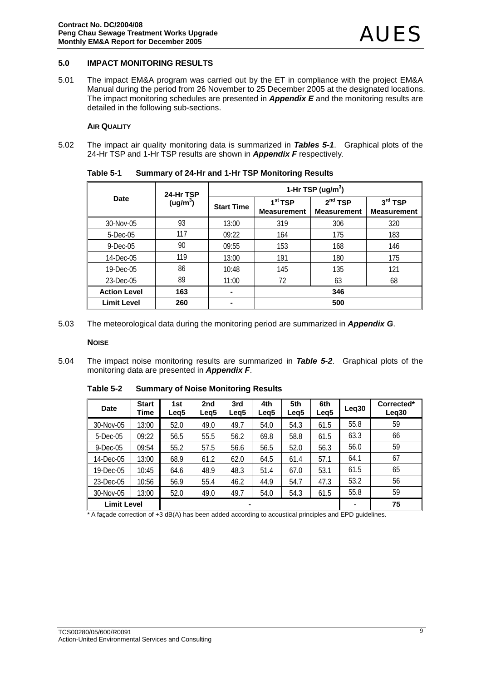#### **5.0 IMPACT MONITORING RESULTS**

5.01 The impact EM&A program was carried out by the ET in compliance with the project EM&A Manual during the period from 26 November to 25 December 2005 at the designated locations. The impact monitoring schedules are presented in *Appendix E* and the monitoring results are detailed in the following sub-sections.

#### **AIR QUALITY**

5.02 The impact air quality monitoring data is summarized in *Tables 5-1*. Graphical plots of the 24-Hr TSP and 1-Hr TSP results are shown in *Appendix F* respectively.

| Date                | 24-Hr TSP            | 1-Hr TSP (ug/m <sup>3</sup> ) |                                           |                                           |                                 |  |  |
|---------------------|----------------------|-------------------------------|-------------------------------------------|-------------------------------------------|---------------------------------|--|--|
|                     | (ug/m <sup>3</sup> ) | <b>Start Time</b>             | 1 <sup>st</sup> TSP<br><b>Measurement</b> | 2 <sup>nd</sup> TSP<br><b>Measurement</b> | $3rd$ TSP<br><b>Measurement</b> |  |  |
| 30-Nov-05           | 93                   | 13:00                         | 319                                       | 306                                       | 320                             |  |  |
| $5$ -Dec-05         | 117                  | 09:22                         | 164                                       | 175                                       | 183                             |  |  |
| $9$ -Dec-05         | 90                   | 09:55                         | 153                                       | 168                                       | 146                             |  |  |
| 14-Dec-05           | 119                  | 13:00                         | 191                                       | 180                                       | 175                             |  |  |
| 19-Dec-05           | 86                   | 10:48                         | 145                                       | 135                                       | 121                             |  |  |
| 23-Dec-05           | 89                   | 11:00                         | 72                                        | 63                                        | 68                              |  |  |
| <b>Action Level</b> | 163                  | $\blacksquare$                | 346                                       |                                           |                                 |  |  |
| <b>Limit Level</b>  | 260                  |                               | 500                                       |                                           |                                 |  |  |

**Table 5-1 Summary of 24-Hr and 1-Hr TSP Monitoring Results** 

5.03 The meteorological data during the monitoring period are summarized in *Appendix G*.

**NOISE**

5.04 The impact noise monitoring results are summarized in *Table 5-2*. Graphical plots of the monitoring data are presented in *Appendix F*.

| <b>Date</b>        | <b>Start</b><br>Time | 1st<br>Leg <sub>5</sub> | 2 <sub>nd</sub><br>Leg5 | 3rd<br>Leg <sub>5</sub> | 4th<br>Leg <sub>5</sub> | 5th<br>Leg <sub>5</sub> | 6th<br>Leg <sub>5</sub> | Leq30 | Corrected*<br>Leg <sub>30</sub> |
|--------------------|----------------------|-------------------------|-------------------------|-------------------------|-------------------------|-------------------------|-------------------------|-------|---------------------------------|
| 30-Nov-05          | 13:00                | 52.0                    | 49.0                    | 49.7                    | 54.0                    | 54.3                    | 61.5                    | 55.8  | 59                              |
| 5-Dec-05           | 09:22                | 56.5                    | 55.5                    | 56.2                    | 69.8                    | 58.8                    | 61.5                    | 63.3  | 66                              |
| $9$ -Dec-05        | 09:54                | 55.2                    | 57.5                    | 56.6                    | 56.5                    | 52.0                    | 56.3                    | 56.0  | 59                              |
| 14-Dec-05          | 13:00                | 68.9                    | 61.2                    | 62.0                    | 64.5                    | 61.4                    | 57.1                    | 64.1  | 67                              |
| 19-Dec-05          | 10:45                | 64.6                    | 48.9                    | 48.3                    | 51.4                    | 67.0                    | 53.1                    | 61.5  | 65                              |
| 23-Dec-05          | 10:56                | 56.9                    | 55.4                    | 46.2                    | 44.9                    | 54.7                    | 47.3                    | 53.2  | 56                              |
| 30-Nov-05          | 13:00                | 52.0                    | 49.0                    | 49.7                    | 54.0                    | 54.3                    | 61.5                    | 55.8  | 59                              |
| <b>Limit Level</b> | ۰                    |                         |                         |                         |                         |                         |                         | ۰     | 75                              |

**Table 5-2 Summary of Noise Monitoring Results** 

\* A façade correction of +3 dB(A) has been added according to acoustical principles and EPD guidelines.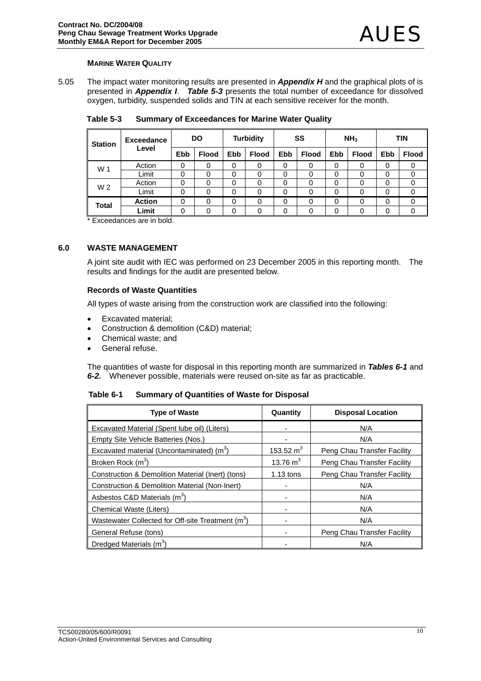#### **MARINE WATER QUALITY**

5.05 The impact water monitoring results are presented in *Appendix H* and the graphical plots of is presented in *Appendix I*. *Table 5-3* presents the total number of exceedance for dissolved oxygen, turbidity, suspended solids and TIN at each sensitive receiver for the month.

| <b>Station</b> | <b>Exceedance</b> | DO         |              | <b>Turbidity</b> |              | SS         |              | NH <sub>3</sub> |              | <b>TIN</b> |              |
|----------------|-------------------|------------|--------------|------------------|--------------|------------|--------------|-----------------|--------------|------------|--------------|
|                | Level             | <b>Ebb</b> | <b>Flood</b> | <b>Ebb</b>       | <b>Flood</b> | <b>Ebb</b> | <b>Flood</b> | <b>Ebb</b>      | <b>Flood</b> | <b>Ebb</b> | <b>Flood</b> |
| W 1            | Action            | 0          | 0            | 0                | 0            | 0          |              | 0               | 0            | 0          |              |
|                | Limit             | 0          | 0            | 0                | 0            | 0          | 0            | 0               | 0            | 0          | 0            |
| W <sub>2</sub> | Action            | 0          | 0            | 0                |              | 0          |              | 0               | 0            | 0          |              |
|                | Limit             | 0          | 0            | 0                | 0            | 0          | 0            | 0               | 0            | 0          | 0            |
| Total          | <b>Action</b>     | 0          | 0            | 0                | 0            | 0          | 0            | 0               | 0            | 0          | 0            |
|                | Limit             | 0          | 0            | 0                | 0            | 0          |              | 0               | 0            | 0          |              |

**Table 5-3 Summary of Exceedances for Marine Water Quality** 

\* Exceedances are in bold.

### **6.0 WASTE MANAGEMENT**

A joint site audit with IEC was performed on 23 December 2005 in this reporting month. The results and findings for the audit are presented below.

#### **Records of Waste Quantities**

All types of waste arising from the construction work are classified into the following:

- Excavated material;
- Construction & demolition (C&D) material;
- Chemical waste; and
- General refuse.

The quantities of waste for disposal in this reporting month are summarized in *Tables 6-1* and *6-2.* Whenever possible, materials were reused on-site as far as practicable.

**Table 6-1 Summary of Quantities of Waste for Disposal** 

| <b>Type of Waste</b>                                          | Quantity    | <b>Disposal Location</b>    |
|---------------------------------------------------------------|-------------|-----------------------------|
| Excavated Material (Spent lube oil) (Liters)                  |             | N/A                         |
| Empty Site Vehicle Batteries (Nos.)                           |             | N/A                         |
| Excavated material (Uncontaminated) $(m3)$                    | 153.52 $m3$ | Peng Chau Transfer Facility |
| Broken Rock (m <sup>3</sup> )                                 | 13.76 $m3$  | Peng Chau Transfer Facility |
| Construction & Demolition Material (Inert) (tons)             | $1.13$ tons | Peng Chau Transfer Facility |
| <b>Construction &amp; Demolition Material (Non-Inert)</b>     |             | N/A                         |
| Asbestos C&D Materials (m <sup>3</sup> )                      |             | N/A                         |
| <b>Chemical Waste (Liters)</b>                                |             | N/A                         |
| Wastewater Collected for Off-site Treatment (m <sup>3</sup> ) |             | N/A                         |
| General Refuse (tons)                                         |             | Peng Chau Transfer Facility |
| Dredged Materials (m <sup>3</sup> )                           |             | N/A                         |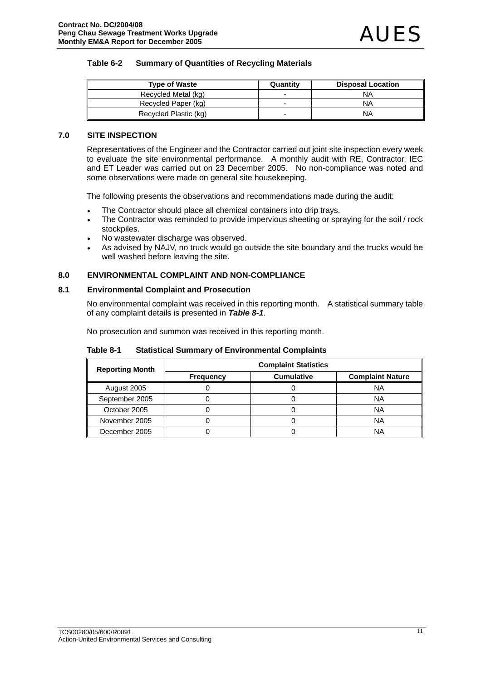### **Table 6-2 Summary of Quantities of Recycling Materials**

| <b>Type of Waste</b>  | Quantity | <b>Disposal Location</b> |
|-----------------------|----------|--------------------------|
| Recycled Metal (kg)   |          | NA                       |
| Recycled Paper (kg)   |          | NA                       |
| Recycled Plastic (kg) |          | NA                       |

### **7.0 SITE INSPECTION**

Representatives of the Engineer and the Contractor carried out joint site inspection every week to evaluate the site environmental performance. A monthly audit with RE, Contractor, IEC and ET Leader was carried out on 23 December 2005. No non-compliance was noted and some observations were made on general site housekeeping.

The following presents the observations and recommendations made during the audit:

- The Contractor should place all chemical containers into drip trays.
- The Contractor was reminded to provide impervious sheeting or spraying for the soil / rock stockpiles.
- No wastewater discharge was observed.
- As advised by NAJV, no truck would go outside the site boundary and the trucks would be well washed before leaving the site.

### **8.0 ENVIRONMENTAL COMPLAINT AND NON-COMPLIANCE**

### **8.1 Environmental Complaint and Prosecution**

No environmental complaint was received in this reporting month. A statistical summary table of any complaint details is presented in *Table 8-1*.

No prosecution and summon was received in this reporting month.

| <b>Reporting Month</b> | <b>Complaint Statistics</b> |                   |                         |  |  |  |
|------------------------|-----------------------------|-------------------|-------------------------|--|--|--|
|                        | <b>Frequency</b>            | <b>Cumulative</b> | <b>Complaint Nature</b> |  |  |  |
| August 2005            |                             |                   | ΝA                      |  |  |  |
| September 2005         |                             |                   | ΝA                      |  |  |  |
| October 2005           |                             |                   | ΝA                      |  |  |  |
| November 2005          |                             |                   | ΝA                      |  |  |  |
| December 2005          |                             |                   | ΝA                      |  |  |  |

**Table 8-1 Statistical Summary of Environmental Complaints**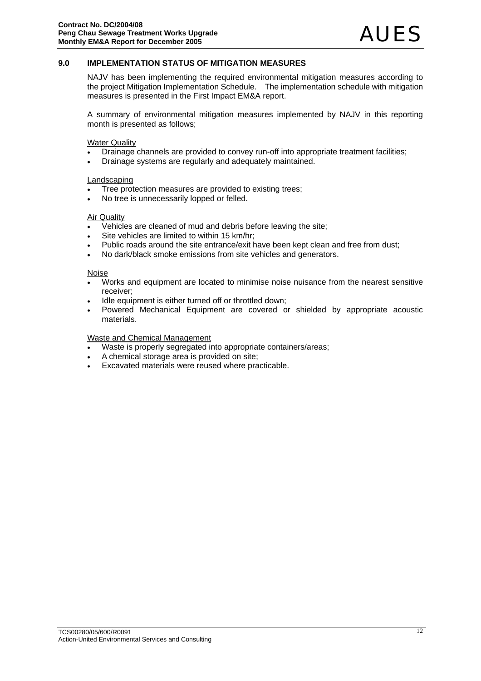### **9.0 IMPLEMENTATION STATUS OF MITIGATION MEASURES**

NAJV has been implementing the required environmental mitigation measures according to the project Mitigation Implementation Schedule. The implementation schedule with mitigation measures is presented in the First Impact EM&A report.

A summary of environmental mitigation measures implemented by NAJV in this reporting month is presented as follows;

Water Quality

- Drainage channels are provided to convey run-off into appropriate treatment facilities;
- Drainage systems are regularly and adequately maintained.

#### Landscaping

- Tree protection measures are provided to existing trees;
- No tree is unnecessarily lopped or felled.

#### Air Quality

- Vehicles are cleaned of mud and debris before leaving the site;
- Site vehicles are limited to within 15 km/hr;
- Public roads around the site entrance/exit have been kept clean and free from dust;
- No dark/black smoke emissions from site vehicles and generators.

#### Noise

- Works and equipment are located to minimise noise nuisance from the nearest sensitive receiver;
- Idle equipment is either turned off or throttled down:
- Powered Mechanical Equipment are covered or shielded by appropriate acoustic materials.

#### Waste and Chemical Management

- Waste is properly segregated into appropriate containers/areas;
- A chemical storage area is provided on site;
- Excavated materials were reused where practicable.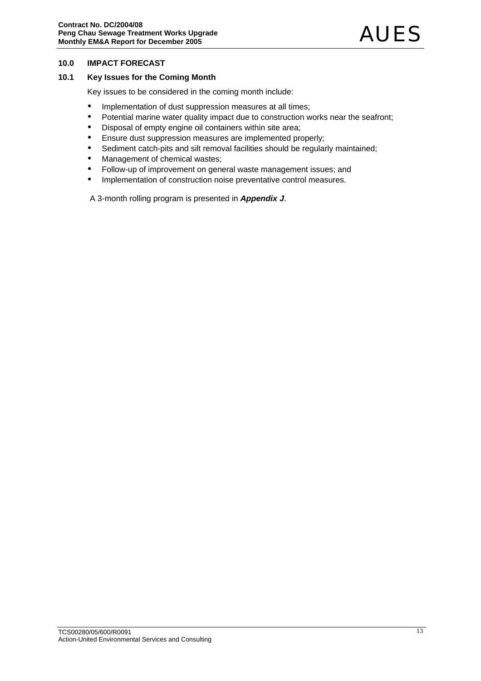### **10.0 IMPACT FORECAST**

### **10.1 Key Issues for the Coming Month**

Key issues to be considered in the coming month include:

- Implementation of dust suppression measures at all times;
- Potential marine water quality impact due to construction works near the seafront;
- Disposal of empty engine oil containers within site area;
- Ensure dust suppression measures are implemented properly;
- Sediment catch-pits and silt removal facilities should be regularly maintained;
- Management of chemical wastes;
- Follow-up of improvement on general waste management issues; and
- Implementation of construction noise preventative control measures.

A 3-month rolling program is presented in *Appendix J*.